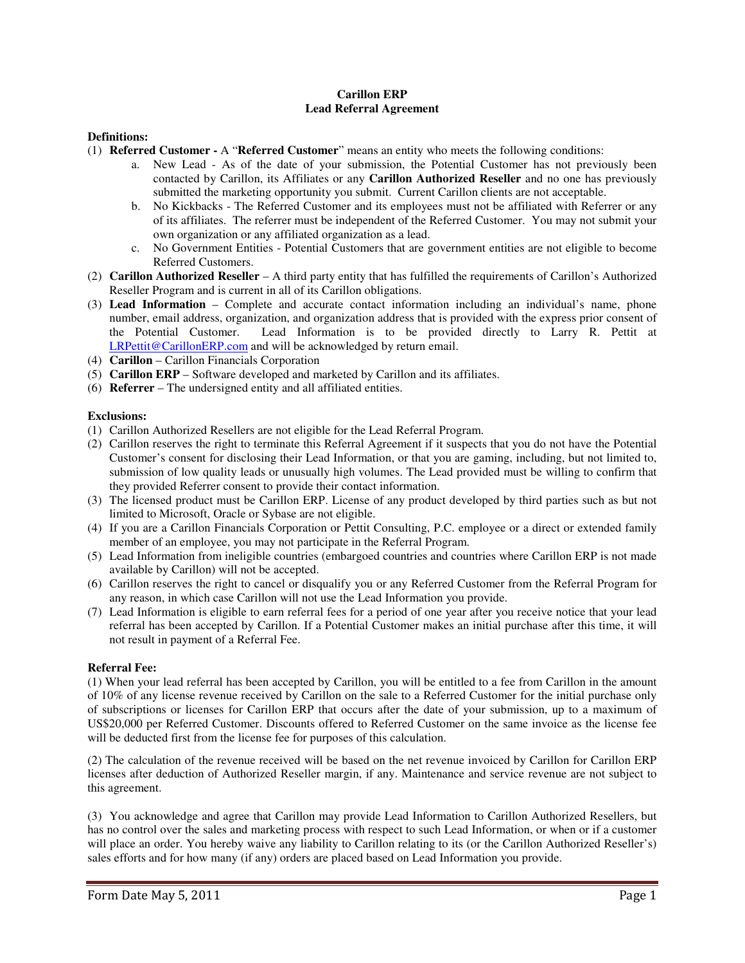# **Carillon ERP Lead Referral Agreement**

## **Definitions:**

- (1) **Referred Customer** A "**Referred Customer**" means an entity who meets the following conditions:
	- a. New Lead As of the date of your submission, the Potential Customer has not previously been contacted by Carillon, its Affiliates or any **Carillon Authorized Reseller** and no one has previously submitted the marketing opportunity you submit. Current Carillon clients are not acceptable.
	- b. No Kickbacks The Referred Customer and its employees must not be affiliated with Referrer or any of its affiliates. The referrer must be independent of the Referred Customer. You may not submit your own organization or any affiliated organization as a lead.
	- c. No Government Entities Potential Customers that are government entities are not eligible to become Referred Customers.
- (2) **Carillon Authorized Reseller** A third party entity that has fulfilled the requirements of Carillon's Authorized Reseller Program and is current in all of its Carillon obligations.
- (3) **Lead Information**  Complete and accurate contact information including an individual's name, phone number, email address, organization, and organization address that is provided with the express prior consent of the Potential Customer. Lead Information is to be provided directly to Larry R. Pettit at LRPettit@CarillonERP.com and will be acknowledged by return email.
- (4) **Carillon**  Carillon Financials Corporation
- (5) **Carillon ERP**  Software developed and marketed by Carillon and its affiliates.
- (6) **Referrer**  The undersigned entity and all affiliated entities.

### **Exclusions:**

- (1) Carillon Authorized Resellers are not eligible for the Lead Referral Program.
- (2) Carillon reserves the right to terminate this Referral Agreement if it suspects that you do not have the Potential Customer's consent for disclosing their Lead Information, or that you are gaming, including, but not limited to, submission of low quality leads or unusually high volumes. The Lead provided must be willing to confirm that they provided Referrer consent to provide their contact information.
- (3) The licensed product must be Carillon ERP. License of any product developed by third parties such as but not limited to Microsoft, Oracle or Sybase are not eligible.
- (4) If you are a Carillon Financials Corporation or Pettit Consulting, P.C. employee or a direct or extended family member of an employee, you may not participate in the Referral Program.
- (5) Lead Information from ineligible countries (embargoed countries and countries where Carillon ERP is not made available by Carillon) will not be accepted.
- (6) Carillon reserves the right to cancel or disqualify you or any Referred Customer from the Referral Program for any reason, in which case Carillon will not use the Lead Information you provide.
- (7) Lead Information is eligible to earn referral fees for a period of one year after you receive notice that your lead referral has been accepted by Carillon. If a Potential Customer makes an initial purchase after this time, it will not result in payment of a Referral Fee.

### **Referral Fee:**

(1) When your lead referral has been accepted by Carillon, you will be entitled to a fee from Carillon in the amount of 10% of any license revenue received by Carillon on the sale to a Referred Customer for the initial purchase only of subscriptions or licenses for Carillon ERP that occurs after the date of your submission, up to a maximum of US\$20,000 per Referred Customer. Discounts offered to Referred Customer on the same invoice as the license fee will be deducted first from the license fee for purposes of this calculation.

(2) The calculation of the revenue received will be based on the net revenue invoiced by Carillon for Carillon ERP licenses after deduction of Authorized Reseller margin, if any. Maintenance and service revenue are not subject to this agreement.

(3) You acknowledge and agree that Carillon may provide Lead Information to Carillon Authorized Resellers, but has no control over the sales and marketing process with respect to such Lead Information, or when or if a customer will place an order. You hereby waive any liability to Carillon relating to its (or the Carillon Authorized Reseller's) sales efforts and for how many (if any) orders are placed based on Lead Information you provide.